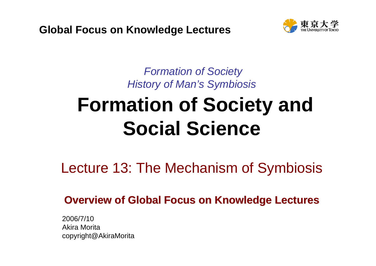**Global Focus on Knowledge Lectures**



*Formation of Society History of Man's Symbiosis*

# **Formation of Society and Social Science**

Lecture 13: The Mechanism of Symbiosis

**Overview of Global Focus on Knowledge Lectures** 

2006/7/10Akira Moritacopyright@AkiraMorita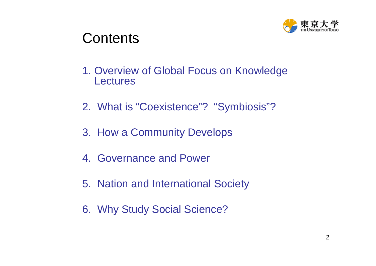

# **Contents**

- 1. Overview of Global Focus on Knowledge **Lectures**
- 2. What is "Coexistence"? "Symbiosis"?
- 3. How a Community Develops
- 4. Governance and Power
- 5. Nation and International Society
- 6. Why Study Social Science?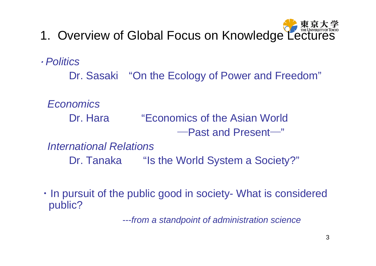1. Overview of Global Focus on Knowledge Lectures ・*Politics*Dr. Sasaki "On the Ecology of Power and Freedom" *Economics*Dr. Hara "Economics of the Asian World─Past and Present ─"*International Relations*Dr. Tanaka "Is the World System a Society?"

・In pursuit of the public good in society- What is considered public?

---*from a standpoint of administration science*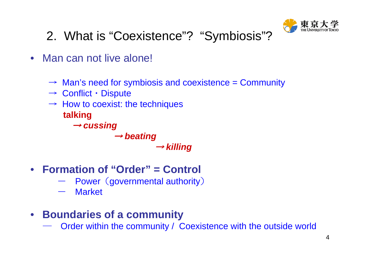

# 2. What is "Coexistence"? "Symbiosis"?

- • Man can not live alone!
	- $\rightarrow$  Man's need for symbiosis and coexistence = Community
	- $\rightarrow$  Conflict  $\cdot$  Dispute
	- $\rightarrow$  How to coexist: the techniques **talking**
		- → *cussing*

→ *beating*  → *killing*

- • **Formation of "Order" = Control**
	- Power (governmental authority)
	- **Market**
- • **Boundaries of a community**
	- $\mathcal{L}^{\text{max}}_{\text{max}}$  and  $\mathcal{L}^{\text{max}}_{\text{max}}$  and  $\mathcal{L}^{\text{max}}_{\text{max}}$  and  $\mathcal{L}^{\text{max}}_{\text{max}}$ Order within the community / Coexistence with the outside world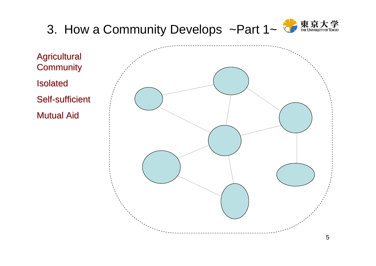# 3. How a Community Develops ~Part 1~

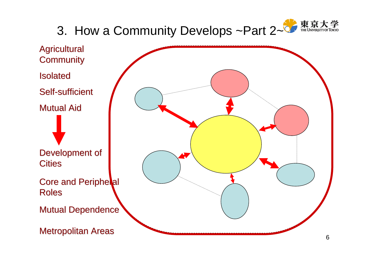#### 東京 3. How a Community Develops ~Part 2~9

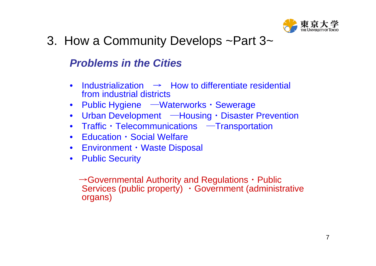

## 3. How a Community Develops ~Part 3~

#### *Problems in the Cities*

- $\bullet$ Industrialization  $\rightarrow$  How to differentiate residential from industrial districts
- $\bullet$ Public Hygiene – Waterworks · Sewerage
- $\bullet$ Urban Development — Housing · Disaster Prevention
- $\bullet$ Traf fic・Telecommunications ─Transportation
- $\bullet$ Education・Social Welfare
- $\bullet$ Environment・Waste Disposal
- $\bullet$ Public Security

 $\rightarrow$  Governmental Authority and Regulations  $\cdot$  Public Services (public property) · Government (administrative organs)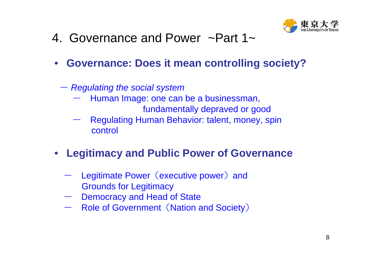

- 4. Governance and Power ~Part 1~
	- $\bullet$  **Governance: Does it mean controlling society?**
		- *Regulating the social system*
			- - Human Image: one can be a businessman,
				- fundamentally depraved or good
			- - Regulating Human Behavior: talent, money, spin control
	- $\bullet$  **Legitimacy and Public Power of Governance**
		- -- Legitimate Power (executive power) and Grounds for Legitimacy
		- -Democracy and Head of State
		- -- Role of Government (Nation and Society)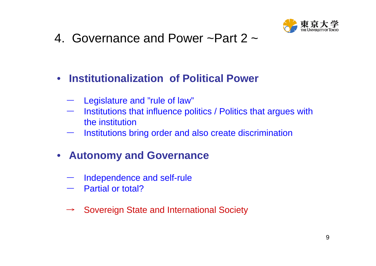

4. Governance and Power ~Part 2 ~

- **Institutionalization of Political Power**
	- Legislature and "rule of law"
	- Institutions that influence politics / Politics that argues with the institution
	- Institutions bring order and also create discrimination
- **Autonomy and Governance**
	- Independence and self-rule
	- Partial or total?
	- $\rightarrow$ Sovereign State and International Society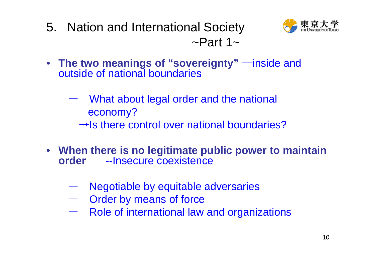5. Nation and International Society  $\sim$ Part 1 $\sim$ 



- **The two meanings of "sovereignty"** ─inside and outside of national boundaries
	- What about legal order and the national economy?

 $\rightarrow$ Is there control over national boundaries?

- **When there is no legitimate public power to maintain order** --Insecure coexistence
	- Negotiable by equitable adversaries
	- -Order by means of force
	- $\overline{\phantom{0}}$ Role of international law and organizations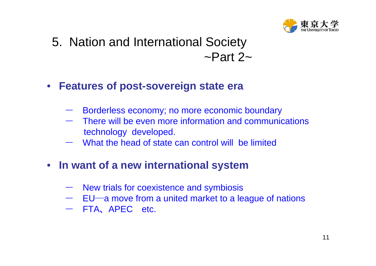

5. Nation and International Society  $\sim$ Part 2 $\sim$ 

#### • **Features of post-sovereign state era**

- Borderless economy; no more economic boundary
- There will be even more information and communications technology developed.
- What the head of state can control will be limited

#### • **In want of a new international system**

- -New trials for coexistence and symbiosis
- $-$  EU—a move from a united market to a league of nations
- $-$  FTA, APEC etc.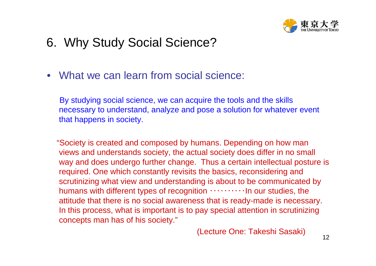

## 6. Why Study Social Science?

• What we can learn from social science:

By studying social science, we can acquire the tools and the skills necessary to understand, analyze and pose a solution for whatever event that happens in society.

"Society is created and composed by humans. Depending on how man views and understands society, the actual society does differ in no small way and does undergo further change. Thus a certain intellectual posture is required. One which constantly revisits the basics, reconsidering and scrutinizing what view and understanding is about to be communicated by humans with different types of recognition  $\cdots \cdots \cdots \cdots$  In our studies, the attitude that there is no social awareness that is ready-made is necessary. In this process, what is important is to pay special attention in scrutinizing concepts man has of his society."

(Lecture One: Takeshi Sasaki)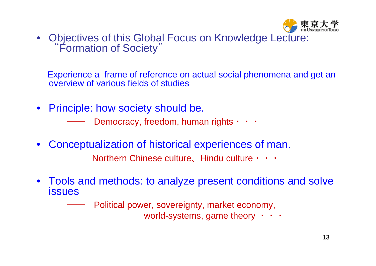

•Objectives of this Global Focus on Knowledge Lecture: "

Experience a frame of reference on actual social phenomena and get an overview of various fields of studies

• Principle: how society should be.

Democracy, freedom, human rights  $\cdots$ 

•Conceptualization of historical experiences of man.

> <del>─────</del> — Northern Chinese culture、Hindu culture・・・

• Tools and methods: to analyze present conditions and solve issues

Political power, sovereignty, market economy,

world-systems, game theory  $\cdot \cdot \cdot$